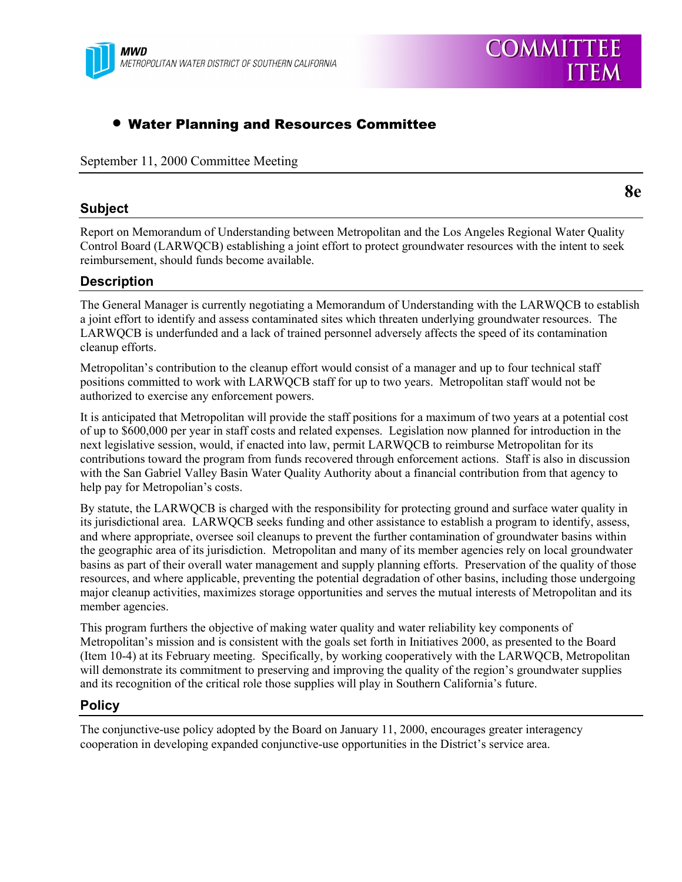

## • Water Planning and Resources Committee

September 11, 2000 Committee Meeting

#### **Subject**

Report on Memorandum of Understanding between Metropolitan and the Los Angeles Regional Water Quality Control Board (LARWQCB) establishing a joint effort to protect groundwater resources with the intent to seek reimbursement, should funds become available.

### **Description**

The General Manager is currently negotiating a Memorandum of Understanding with the LARWQCB to establish a joint effort to identify and assess contaminated sites which threaten underlying groundwater resources. The LARWQCB is underfunded and a lack of trained personnel adversely affects the speed of its contamination cleanup efforts.

Metropolitan's contribution to the cleanup effort would consist of a manager and up to four technical staff positions committed to work with LARWQCB staff for up to two years. Metropolitan staff would not be authorized to exercise any enforcement powers.

It is anticipated that Metropolitan will provide the staff positions for a maximum of two years at a potential cost of up to \$600,000 per year in staff costs and related expenses. Legislation now planned for introduction in the next legislative session, would, if enacted into law, permit LARWQCB to reimburse Metropolitan for its contributions toward the program from funds recovered through enforcement actions. Staff is also in discussion with the San Gabriel Valley Basin Water Quality Authority about a financial contribution from that agency to help pay for Metropolian's costs.

By statute, the LARWQCB is charged with the responsibility for protecting ground and surface water quality in its jurisdictional area. LARWQCB seeks funding and other assistance to establish a program to identify, assess, and where appropriate, oversee soil cleanups to prevent the further contamination of groundwater basins within the geographic area of its jurisdiction. Metropolitan and many of its member agencies rely on local groundwater basins as part of their overall water management and supply planning efforts. Preservation of the quality of those resources, and where applicable, preventing the potential degradation of other basins, including those undergoing major cleanup activities, maximizes storage opportunities and serves the mutual interests of Metropolitan and its member agencies.

This program furthers the objective of making water quality and water reliability key components of Metropolitan's mission and is consistent with the goals set forth in Initiatives 2000, as presented to the Board (Item 10-4) at its February meeting. Specifically, by working cooperatively with the LARWQCB, Metropolitan will demonstrate its commitment to preserving and improving the quality of the region's groundwater supplies and its recognition of the critical role those supplies will play in Southern California's future.

#### **Policy**

The conjunctive-use policy adopted by the Board on January 11, 2000, encourages greater interagency cooperation in developing expanded conjunctive-use opportunities in the District's service area.

**8e**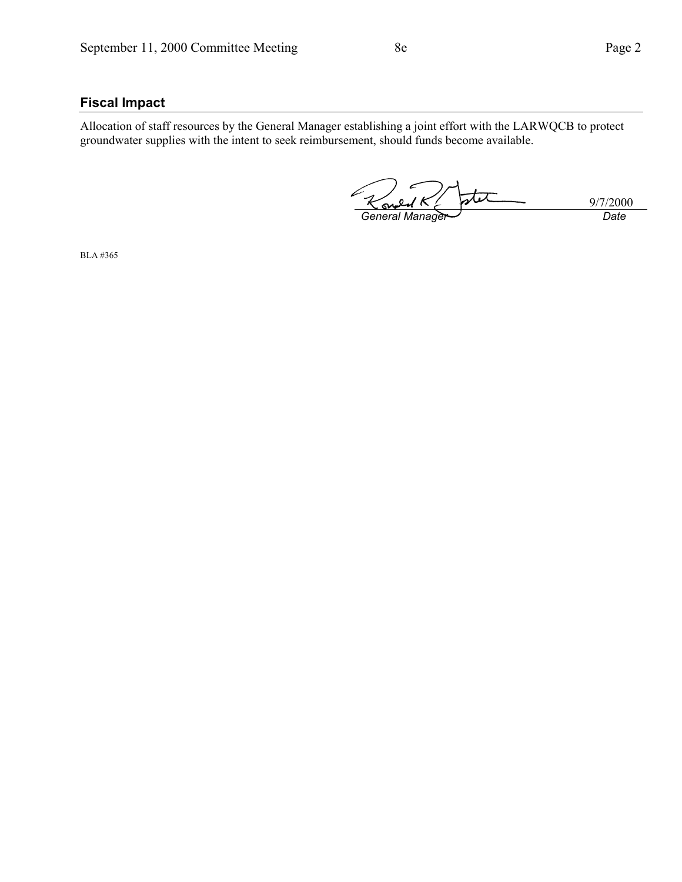## **Fiscal Impact**

Allocation of staff resources by the General Manager establishing a joint effort with the LARWQCB to protect groundwater supplies with the intent to seek reimbursement, should funds become available.

تمعا 9/7/2000<br>Date S *General Manager* 

BLA #365